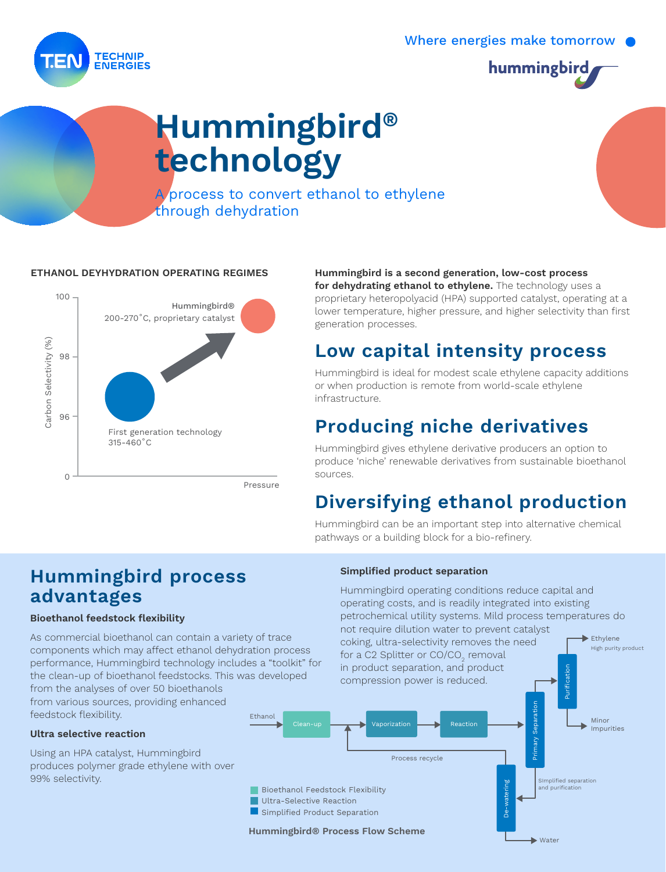Where energies make tomorrow



# Hummingbird® technology

A process to convert ethanol to ethylene through dehydration

#### ETHANOL DEYHYDRATION OPERATING REGIMES

30-34 Rue du Chemin Vert 75011 Paris +33 (0)1 85 56 97 00 www.carrenoir.com **TONS RECOMMANDÉS (RVB)**

**TECHNIP ENERGIES** 



#### Hummingbird is a second generation, low-cost process

for dehydrating ethanol to ethylene. The technology uses a proprietary heteropolyacid (HPA) supported catalyst, operating at a lower temperature, higher pressure, and higher selectivity than first generation processes.

### Low capital intensity process

Hummingbird is ideal for modest scale ethylene capacity additions or when production is remote from world-scale ethylene infrastructure.

### Producing niche derivatives

Hummingbird gives ethylene derivative producers an option to produce 'niche' renewable derivatives from sustainable bioethanol sources.

### Diversifying ethanol production

Hummingbird can be an important step into alternative chemical pathways or a building block for a bio-refinery.

### Hummingbird process advantages

#### Bioethanol feedstock flexibility

Ethanol As commercial bioethanol can contain a variety of trace components which may affect ethanol dehydration process performance, Hummingbird technology includes a "toolkit" for the clean-up of bioethanol feedstocks. This was developed from the analyses of over 50 bioethanols from various sources, providing enhanced feedstock flexibility.

#### Ultra selective reaction

Using an HPA catalyst, Hummingbird produces polymer grade ethylene with over 99% selectivity.

#### Simplified product separation

Hummingbird operating conditions reduce capital and operating costs, and is readily integrated into existing petrochemical utility systems. Mild process temperatures do not require dilution water to prevent catalyst

**►** Water

Ethylene coking, ultra-selectivity removes the need High purity product for a C2 Splitter or CO/CO $_2$  removal in product separation, and product Purification compression power is reduced.Primary Separation Primary Separation Minor Vaporization  $\Box$  Reaction Impurities Process recycle SImplified separation and purification -watering De-watering Bioethanol Feedstock Flexibility Ultra-Selective Reaction Simplified Product Separation

Hummingbird® Process Flow Scheme